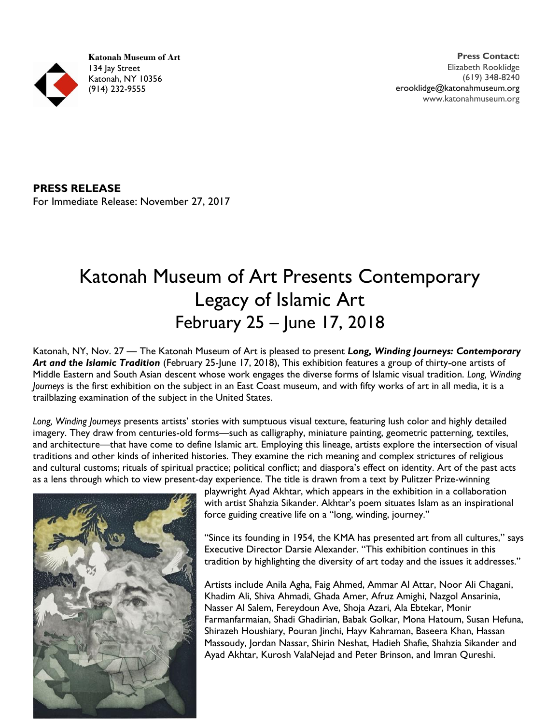**Katonah Museum of Art** 134 lay Street Katonah, NY 10356 (914) 232-9555

**PRESS RELEASE**

For Immediate Release: November 27, 2017

## Katonah Museum of Art Presents Contemporary Legacy of Islamic Art February 25 – June 17, 2018

Katonah, NY, Nov. 27 — The Katonah Museum of Art is pleased to present *Long, Winding Journeys: Contemporary Art and the Islamic Tradition* (February 25-June 17, 2018), This exhibition features a group of thirty-one artists of Middle Eastern and South Asian descent whose work engages the diverse forms of Islamic visual tradition. *Long, Winding Journeys* is the first exhibition on the subject in an East Coast museum, and with fifty works of art in all media, it is a trailblazing examination of the subject in the United States.

*Long, Winding Journeys* presents artists' stories with sumptuous visual texture, featuring lush color and highly detailed imagery. They draw from centuries-old forms—such as calligraphy, miniature painting, geometric patterning, textiles, and architecture—that have come to define Islamic art. Employing this lineage, artists explore the intersection of visual traditions and other kinds of inherited histories. They examine the rich meaning and complex strictures of religious and cultural customs; rituals of spiritual practice; political conflict; and diaspora's effect on identity. Art of the past acts as a lens through which to view present-day experience. The title is drawn from a text by Pulitzer Prize-winning



playwright Ayad Akhtar, which appears in the exhibition in a collaboration with artist Shahzia Sikander. Akhtar's poem situates Islam as an inspirational force guiding creative life on a "long, winding, journey."

"Since its founding in 1954, the KMA has presented art from all cultures," says Executive Director Darsie Alexander. "This exhibition continues in this tradition by highlighting the diversity of art today and the issues it addresses."

Artists include Anila Agha, Faig Ahmed, Ammar Al Attar, Noor Ali Chagani, Khadim Ali, Shiva Ahmadi, Ghada Amer, Afruz Amighi, Nazgol Ansarinia, Nasser Al Salem, Fereydoun Ave, Shoja Azari, Ala Ebtekar, Monir Farmanfarmaian, Shadi Ghadirian, Babak Golkar, Mona Hatoum, Susan Hefuna, Shirazeh Houshiary, Pouran Jinchi, Hayy Kahraman, Baseera Khan, Hassan Massoudy, Jordan Nassar, Shirin Neshat, Hadieh Shafie, Shahzia Sikander and Ayad Akhtar, Kurosh ValaNejad and Peter Brinson, and Imran Qureshi.